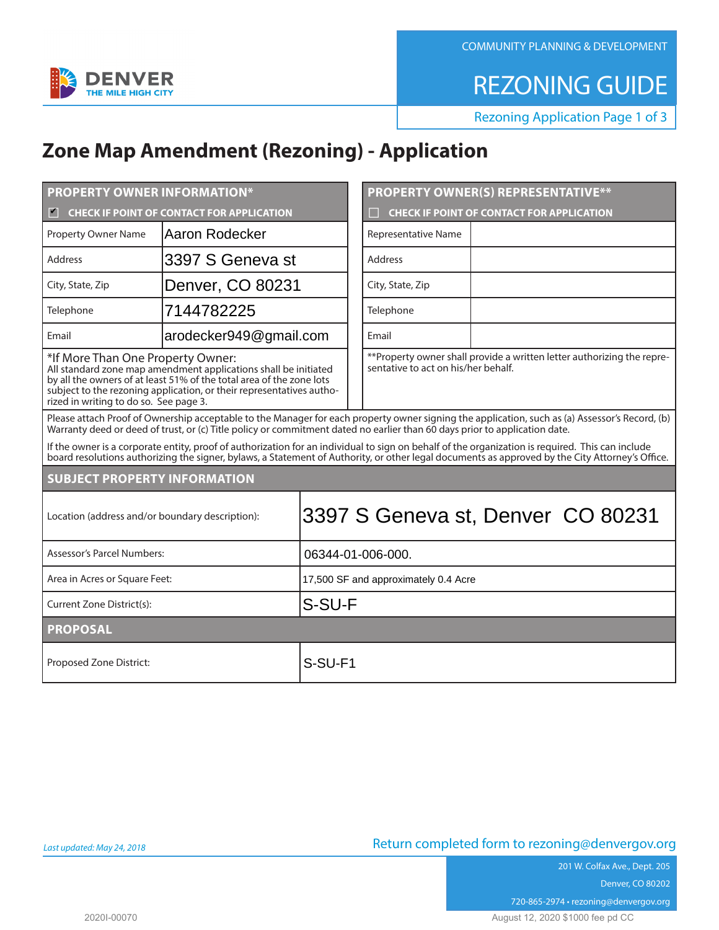COMMUNITY PLANNING & DEVELOPMENT



REZONING GUIDE

Rezoning Application Page 1 of 3

## **Zone Map Amendment (Rezoning) - Application**

| <b>PROPERTY OWNER INFORMATION*</b>                                                                                                                                                                                                                                                                  |                        |                   | <b>PROPERTY OWNER(S) REPRESENTATIVE**</b> |                                                                         |  |
|-----------------------------------------------------------------------------------------------------------------------------------------------------------------------------------------------------------------------------------------------------------------------------------------------------|------------------------|-------------------|-------------------------------------------|-------------------------------------------------------------------------|--|
| <b>CHECK IF POINT OF CONTACT FOR APPLICATION</b><br>$\blacktriangledown$                                                                                                                                                                                                                            |                        |                   |                                           | <b>CHECK IF POINT OF CONTACT FOR APPLICATION</b>                        |  |
| <b>Property Owner Name</b>                                                                                                                                                                                                                                                                          | Aaron Rodecker         |                   |                                           | Representative Name                                                     |  |
| Address                                                                                                                                                                                                                                                                                             | 3397 S Geneva st       |                   |                                           | Address                                                                 |  |
| City, State, Zip                                                                                                                                                                                                                                                                                    | Denver, CO 80231       |                   |                                           | City, State, Zip                                                        |  |
| Telephone                                                                                                                                                                                                                                                                                           | 7144782225             |                   |                                           | Telephone                                                               |  |
| Email                                                                                                                                                                                                                                                                                               | arodecker949@gmail.com |                   |                                           | Email                                                                   |  |
| *If More Than One Property Owner:<br>All standard zone map amendment applications shall be initiated<br>by all the owners of at least 51% of the total area of the zone lots<br>subject to the rezoning application, or their representatives autho-<br>rized in writing to do so. See page 3.      |                        |                   | sentative to act on his/her behalf.       | ** Property owner shall provide a written letter authorizing the repre- |  |
| Please attach Proof of Ownership acceptable to the Manager for each property owner signing the application, such as (a) Assessor's Record, (b)<br>Warranty deed or deed of trust, or (c) Title policy or commitment dated no earlier than 60 days prior to application date.                        |                        |                   |                                           |                                                                         |  |
| If the owner is a corporate entity, proof of authorization for an individual to sign on behalf of the organization is required. This can include<br>board resolutions authorizing the signer, bylaws, a Statement of Authority, or other legal documents as approved by the City Attorney's Office. |                        |                   |                                           |                                                                         |  |
| <b>SUBJECT PROPERTY INFORMATION</b>                                                                                                                                                                                                                                                                 |                        |                   |                                           |                                                                         |  |
| 3397 S Geneva st, Denver CO 80231<br>Location (address and/or boundary description):                                                                                                                                                                                                                |                        |                   |                                           |                                                                         |  |
| Assessor's Parcel Numbers:                                                                                                                                                                                                                                                                          |                        | 06344-01-006-000. |                                           |                                                                         |  |
| Area in Acres or Square Feet:                                                                                                                                                                                                                                                                       |                        |                   | 17,500 SF and approximately 0.4 Acre      |                                                                         |  |
| S-SU-F<br>Current Zone District(s):                                                                                                                                                                                                                                                                 |                        |                   |                                           |                                                                         |  |
| <b>PROPOSAL</b>                                                                                                                                                                                                                                                                                     |                        |                   |                                           |                                                                         |  |
| Proposed Zone District:                                                                                                                                                                                                                                                                             |                        | S-SU-F1           |                                           |                                                                         |  |

201 W. Colfax Ave., Dept. 205 Denver, CO 80202 720-865-2974 • rezoning@denvergov.org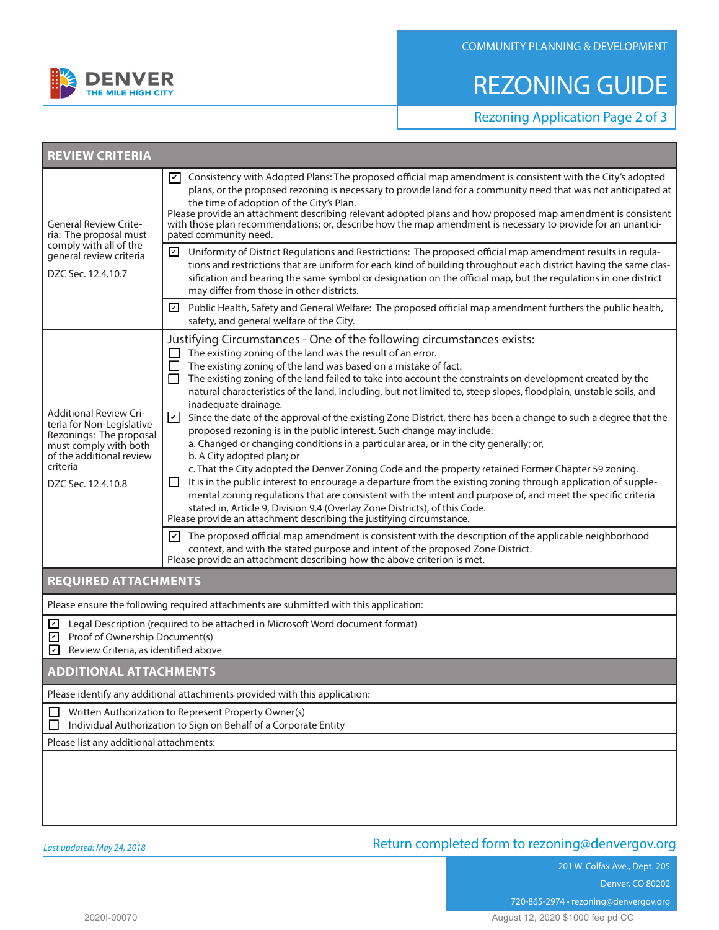

# REZONING GUIDE

Rezoning Application Page 2 of 3

| <b>REVIEW CRITERIA</b>                                                                                                                                                       |                                                                                                                                                                                                                                                                                                                                                                                                                                                                                                                                                                                                                                                                                                                                                                                                                                                                                                                                                                                                                                                                                                                                                                                                                                                                                                                                                                                                                                                                                                                                                                                                                         |  |  |  |
|------------------------------------------------------------------------------------------------------------------------------------------------------------------------------|-------------------------------------------------------------------------------------------------------------------------------------------------------------------------------------------------------------------------------------------------------------------------------------------------------------------------------------------------------------------------------------------------------------------------------------------------------------------------------------------------------------------------------------------------------------------------------------------------------------------------------------------------------------------------------------------------------------------------------------------------------------------------------------------------------------------------------------------------------------------------------------------------------------------------------------------------------------------------------------------------------------------------------------------------------------------------------------------------------------------------------------------------------------------------------------------------------------------------------------------------------------------------------------------------------------------------------------------------------------------------------------------------------------------------------------------------------------------------------------------------------------------------------------------------------------------------------------------------------------------------|--|--|--|
| <b>General Review Crite-</b><br>ria: The proposal must                                                                                                                       | Consistency with Adopted Plans: The proposed official map amendment is consistent with the City's adopted<br>l۷۱<br>plans, or the proposed rezoning is necessary to provide land for a community need that was not anticipated at<br>the time of adoption of the City's Plan.<br>Please provide an attachment describing relevant adopted plans and how proposed map amendment is consistent<br>with those plan recommendations; or, describe how the map amendment is necessary to provide for an unantici-<br>pated community need.                                                                                                                                                                                                                                                                                                                                                                                                                                                                                                                                                                                                                                                                                                                                                                                                                                                                                                                                                                                                                                                                                   |  |  |  |
| comply with all of the<br>general review criteria<br>DZC Sec. 12.4.10.7                                                                                                      | Uniformity of District Regulations and Restrictions: The proposed official map amendment results in regula-<br>☑<br>tions and restrictions that are uniform for each kind of building throughout each district having the same clas-<br>sification and bearing the same symbol or designation on the official map, but the regulations in one district<br>may differ from those in other districts.                                                                                                                                                                                                                                                                                                                                                                                                                                                                                                                                                                                                                                                                                                                                                                                                                                                                                                                                                                                                                                                                                                                                                                                                                     |  |  |  |
|                                                                                                                                                                              | Public Health, Safety and General Welfare: The proposed official map amendment furthers the public health,<br>$\mathsf{L}$<br>safety, and general welfare of the City.                                                                                                                                                                                                                                                                                                                                                                                                                                                                                                                                                                                                                                                                                                                                                                                                                                                                                                                                                                                                                                                                                                                                                                                                                                                                                                                                                                                                                                                  |  |  |  |
| <b>Additional Review Cri-</b><br>teria for Non-Legislative<br>Rezonings: The proposal<br>must comply with both<br>of the additional review<br>criteria<br>DZC Sec. 12.4.10.8 | Justifying Circumstances - One of the following circumstances exists:<br>The existing zoning of the land was the result of an error.<br>The existing zoning of the land was based on a mistake of fact.<br>$\mathbb{R}^n$<br>The existing zoning of the land failed to take into account the constraints on development created by the<br>$\mathsf{L}$<br>natural characteristics of the land, including, but not limited to, steep slopes, floodplain, unstable soils, and<br>inadequate drainage.<br>V<br>Since the date of the approval of the existing Zone District, there has been a change to such a degree that the<br>proposed rezoning is in the public interest. Such change may include:<br>a. Changed or changing conditions in a particular area, or in the city generally; or,<br>b. A City adopted plan; or<br>c. That the City adopted the Denver Zoning Code and the property retained Former Chapter 59 zoning.<br>It is in the public interest to encourage a departure from the existing zoning through application of supple-<br>ப<br>mental zoning regulations that are consistent with the intent and purpose of, and meet the specific criteria<br>stated in, Article 9, Division 9.4 (Overlay Zone Districts), of this Code.<br>Please provide an attachment describing the justifying circumstance.<br>The proposed official map amendment is consistent with the description of the applicable neighborhood<br>$ \mathcal{V} $<br>context, and with the stated purpose and intent of the proposed Zone District.<br>Please provide an attachment describing how the above criterion is met. |  |  |  |
| <b>REQUIRED ATTACHMENTS</b>                                                                                                                                                  |                                                                                                                                                                                                                                                                                                                                                                                                                                                                                                                                                                                                                                                                                                                                                                                                                                                                                                                                                                                                                                                                                                                                                                                                                                                                                                                                                                                                                                                                                                                                                                                                                         |  |  |  |
|                                                                                                                                                                              | Please ensure the following required attachments are submitted with this application:                                                                                                                                                                                                                                                                                                                                                                                                                                                                                                                                                                                                                                                                                                                                                                                                                                                                                                                                                                                                                                                                                                                                                                                                                                                                                                                                                                                                                                                                                                                                   |  |  |  |
| ☑<br>Proof of Ownership Document(s)<br>☑<br>$\overline{\mathcal{C}}$<br>Review Criteria, as identified above                                                                 | Legal Description (required to be attached in Microsoft Word document format)                                                                                                                                                                                                                                                                                                                                                                                                                                                                                                                                                                                                                                                                                                                                                                                                                                                                                                                                                                                                                                                                                                                                                                                                                                                                                                                                                                                                                                                                                                                                           |  |  |  |
| <b>ADDITIONAL ATTACHMENTS</b>                                                                                                                                                |                                                                                                                                                                                                                                                                                                                                                                                                                                                                                                                                                                                                                                                                                                                                                                                                                                                                                                                                                                                                                                                                                                                                                                                                                                                                                                                                                                                                                                                                                                                                                                                                                         |  |  |  |
|                                                                                                                                                                              | Please identify any additional attachments provided with this application:                                                                                                                                                                                                                                                                                                                                                                                                                                                                                                                                                                                                                                                                                                                                                                                                                                                                                                                                                                                                                                                                                                                                                                                                                                                                                                                                                                                                                                                                                                                                              |  |  |  |
| Written Authorization to Represent Property Owner(s)<br>Individual Authorization to Sign on Behalf of a Corporate Entity                                                     |                                                                                                                                                                                                                                                                                                                                                                                                                                                                                                                                                                                                                                                                                                                                                                                                                                                                                                                                                                                                                                                                                                                                                                                                                                                                                                                                                                                                                                                                                                                                                                                                                         |  |  |  |
| Please list any additional attachments:                                                                                                                                      |                                                                                                                                                                                                                                                                                                                                                                                                                                                                                                                                                                                                                                                                                                                                                                                                                                                                                                                                                                                                                                                                                                                                                                                                                                                                                                                                                                                                                                                                                                                                                                                                                         |  |  |  |
|                                                                                                                                                                              |                                                                                                                                                                                                                                                                                                                                                                                                                                                                                                                                                                                                                                                                                                                                                                                                                                                                                                                                                                                                                                                                                                                                                                                                                                                                                                                                                                                                                                                                                                                                                                                                                         |  |  |  |

## Return completed form to rezoning@denvergov.org

201 W. Colfax Ave., Dept. 205 Denver, CO 80202

720-865-2974 • rezoning@denvergov.org

2020I-00070 August 12, 2020 \$1000 fee pd CC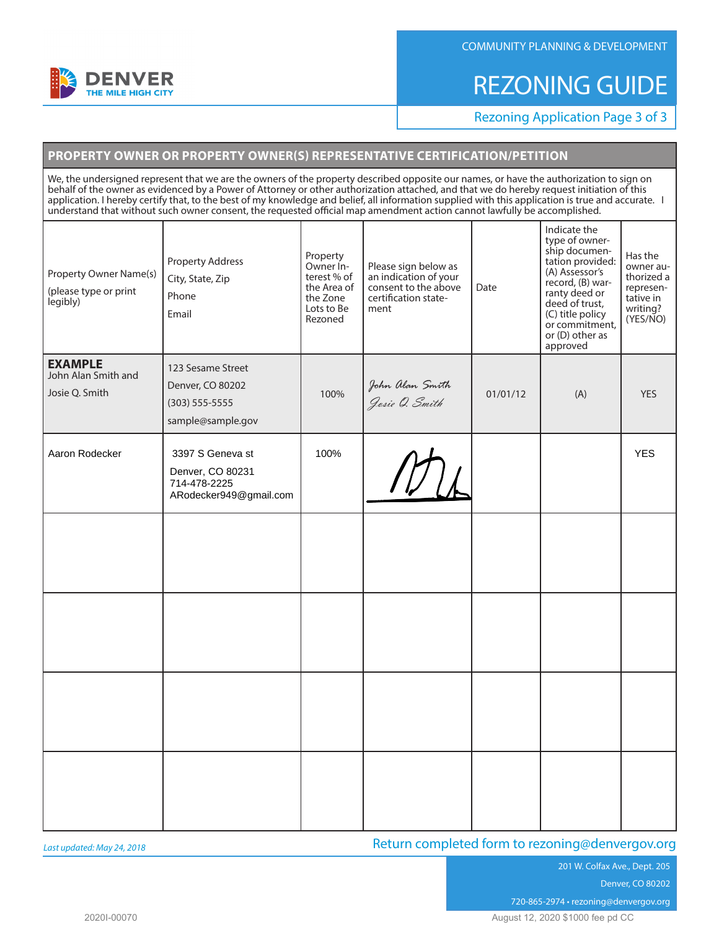

#### COMMUNITY PLANNING & DEVELOPMENT

## REZONING GUIDE

Rezoning Application Page 3 of 3

## **PROPERTY OWNER OR PROPERTY OWNER(S) REPRESENTATIVE CERTIFICATION/PETITION**

We, the undersigned represent that we are the owners of the property described opposite our names, or have the authorization to sign on behalf of the owner as evidenced by a Power of Attorney or other authorization attached, and that we do hereby request initiation of this application. I hereby certify that, to the best of my knowledge and belief, all information supplied with this application is true and accurate. I understand that without such owner consent, the requested official map amendment action cannot lawfully be accomplished.

| Property Owner Name(s)<br>(please type or print<br>legibly) | <b>Property Address</b><br>City, State, Zip<br>Phone<br>Email                  | Property<br>Owner In-<br>terest % of<br>the Area of<br>the Zone<br>Lots to Be<br>Rezoned | Please sign below as<br>an indication of your<br>consent to the above<br>certification state-<br>ment | Date     | Indicate the<br>type of owner-<br>ship documen-<br>tation provided:<br>(A) Assessor's<br>record, (B) war-<br>ranty deed or<br>deed of trust,<br>(C) title policy<br>or commitment,<br>or (D) other as<br>approved | Has the<br>owner au-<br>thorized a<br>represen-<br>tative in<br>writing?<br>(YES/NO) |
|-------------------------------------------------------------|--------------------------------------------------------------------------------|------------------------------------------------------------------------------------------|-------------------------------------------------------------------------------------------------------|----------|-------------------------------------------------------------------------------------------------------------------------------------------------------------------------------------------------------------------|--------------------------------------------------------------------------------------|
| <b>EXAMPLE</b><br>John Alan Smith and<br>Josie Q. Smith     | 123 Sesame Street<br>Denver, CO 80202<br>(303) 555-5555<br>sample@sample.gov   | 100%                                                                                     | John Alan Smith<br><i>Josie O. Smith</i>                                                              | 01/01/12 | (A)                                                                                                                                                                                                               | <b>YES</b>                                                                           |
| Aaron Rodecker                                              | 3397 S Geneva st<br>Denver, CO 80231<br>714-478-2225<br>ARodecker949@gmail.com | 100%                                                                                     |                                                                                                       |          |                                                                                                                                                                                                                   | <b>YES</b>                                                                           |
|                                                             |                                                                                |                                                                                          |                                                                                                       |          |                                                                                                                                                                                                                   |                                                                                      |
|                                                             |                                                                                |                                                                                          |                                                                                                       |          |                                                                                                                                                                                                                   |                                                                                      |
|                                                             |                                                                                |                                                                                          |                                                                                                       |          |                                                                                                                                                                                                                   |                                                                                      |
|                                                             |                                                                                |                                                                                          |                                                                                                       |          |                                                                                                                                                                                                                   |                                                                                      |

*Last updated: May 24, 2018*

## Return completed form to rezoning@denvergov.org

201 W. Colfax Ave., Dept. 205 Denver, CO 80202

720-865-2974 • rezoning@denvergov.org

2020I-00070 August 12, 2020 \$1000 fee pd CC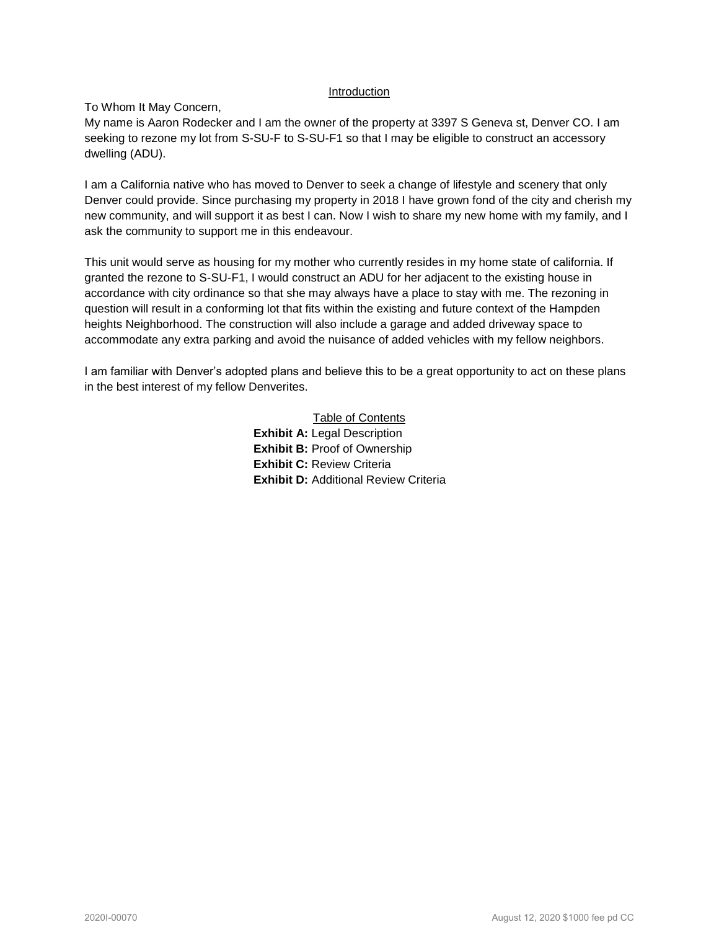#### Introduction

#### To Whom It May Concern,

My name is Aaron Rodecker and I am the owner of the property at 3397 S Geneva st, Denver CO. I am seeking to rezone my lot from S-SU-F to S-SU-F1 so that I may be eligible to construct an accessory dwelling (ADU).

I am a California native who has moved to Denver to seek a change of lifestyle and scenery that only Denver could provide. Since purchasing my property in 2018 I have grown fond of the city and cherish my new community, and will support it as best I can. Now I wish to share my new home with my family, and I ask the community to support me in this endeavour.

This unit would serve as housing for my mother who currently resides in my home state of california. If granted the rezone to S-SU-F1, I would construct an ADU for her adjacent to the existing house in accordance with city ordinance so that she may always have a place to stay with me. The rezoning in question will result in a conforming lot that fits within the existing and future context of the Hampden heights Neighborhood. The construction will also include a garage and added driveway space to accommodate any extra parking and avoid the nuisance of added vehicles with my fellow neighbors.

I am familiar with Denver's adopted plans and believe this to be a great opportunity to act on these plans in the best interest of my fellow Denverites.

> Table of Contents **Exhibit A:** Legal Description **Exhibit B: Proof of Ownership Exhibit C:** Review Criteria **Exhibit D:** Additional Review Criteria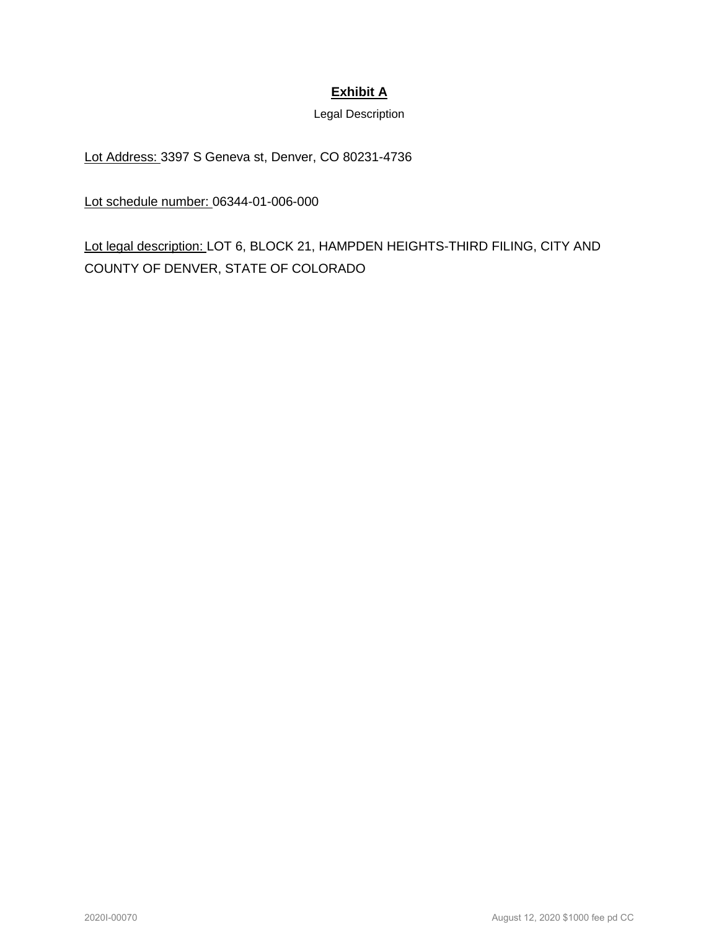## **Exhibit A**

Legal Description

Lot Address: 3397 S Geneva st, Denver, CO 80231-4736

Lot schedule number: 06344-01-006-000

Lot legal description: LOT 6, BLOCK 21, HAMPDEN HEIGHTS-THIRD FILING, CITY AND COUNTY OF DENVER, STATE OF COLORADO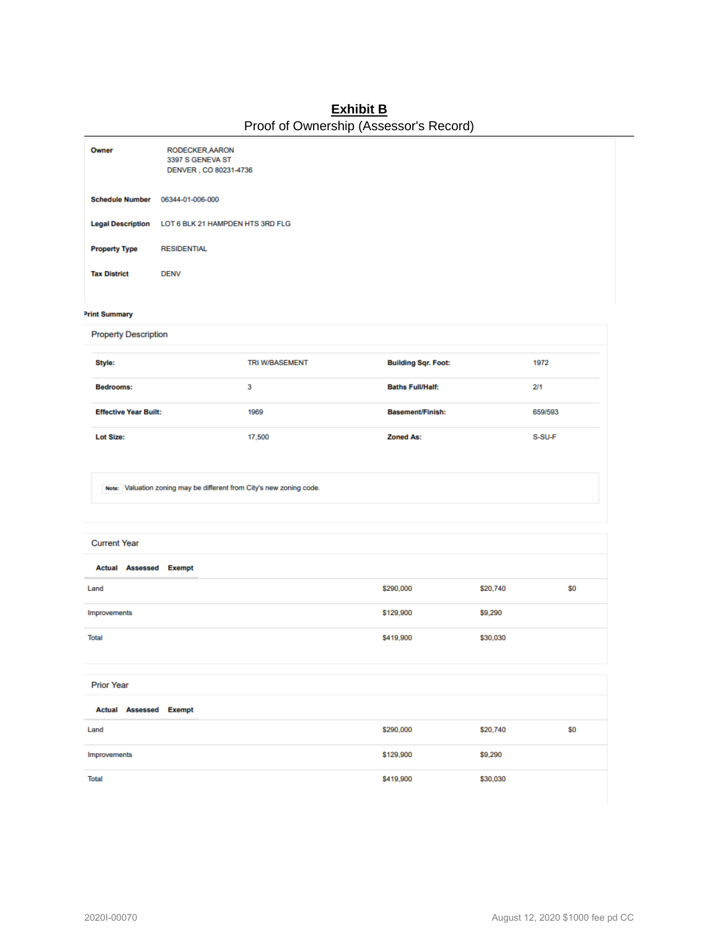## **Exhibit B** Proof of Ownership (Assessor's Record)

| Owner                                                                | RODECKER, AARON<br>3397 S GENEVA ST<br>DENVER, CO 80231-4736 |                       |                            |         |  |
|----------------------------------------------------------------------|--------------------------------------------------------------|-----------------------|----------------------------|---------|--|
| <b>Schedule Number</b>                                               | 06344-01-006-000                                             |                       |                            |         |  |
|                                                                      | Legal Description LOT 6 BLK 21 HAMPDEN HTS 3RD FLG           |                       |                            |         |  |
| <b>Property Type</b>                                                 | <b>RESIDENTIAL</b>                                           |                       |                            |         |  |
| <b>Tax District</b>                                                  | <b>DENV</b>                                                  |                       |                            |         |  |
| <b>Print Summary</b><br><b>Property Description</b>                  |                                                              |                       |                            |         |  |
| Style:                                                               |                                                              | <b>TRI W/BASEMENT</b> | <b>Building Sqr. Foot:</b> | 1972    |  |
| Bedrooms:                                                            |                                                              | 3                     | <b>Baths Full/Half:</b>    | 2/1     |  |
| <b>Effective Year Built:</b>                                         |                                                              | 1969                  | <b>Basement/Finish:</b>    | 659/593 |  |
| <b>Lot Size:</b>                                                     |                                                              | 17,500                | <b>Zoned As:</b>           | S-SU-F  |  |
| Note: Valuation zoning may be different from City's new zoning code. |                                                              |                       |                            |         |  |

#### **Current Year**

| <b>Actual Assessed Exempt</b>                      |           |          |     |
|----------------------------------------------------|-----------|----------|-----|
| Land                                               | \$290,000 | \$20,740 | \$0 |
| Improvements                                       | \$129,900 | \$9,290  |     |
| <b>Total</b>                                       | \$419,900 | \$30,030 |     |
|                                                    |           |          |     |
| <b>Prior Year</b>                                  |           |          |     |
| <b>Actual Assessed Exempt</b><br><b>Contractor</b> |           |          |     |

| Actual Assessed Exempt |           |          |     |
|------------------------|-----------|----------|-----|
| Land                   | \$290,000 | \$20,740 | \$0 |
| Improvements           | \$129,900 | \$9,290  |     |
| <b>Total</b>           | \$419,900 | \$30,030 |     |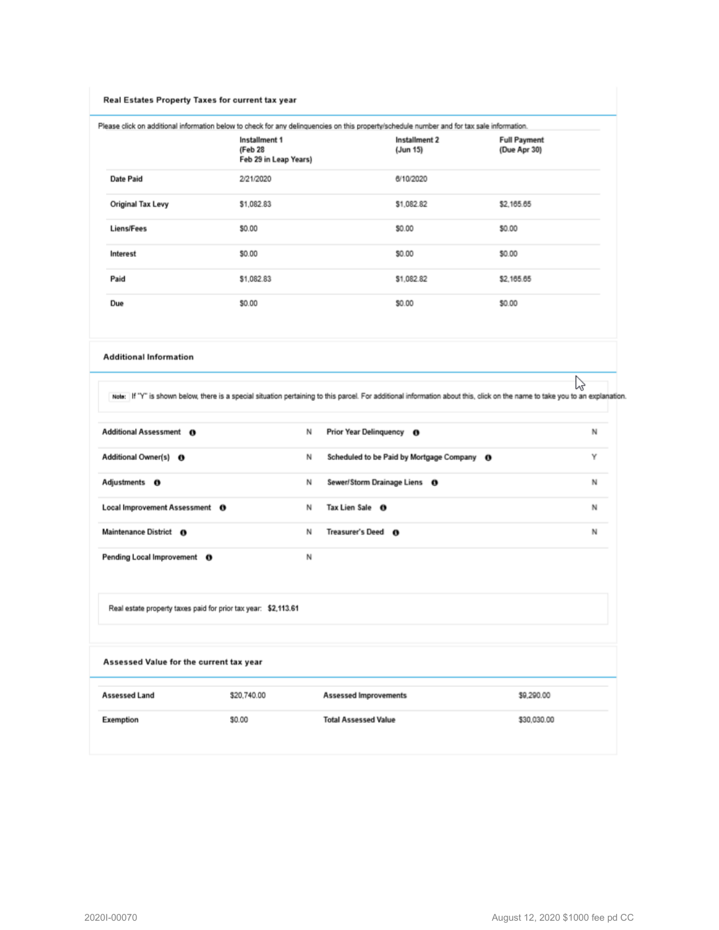#### Real Estates Property Taxes for current tax year

Please click on additional information below to check for any delinquencies on this property/schedule number and for tax sale information.

|                   | Installment 1<br>(Feb 28<br>Feb 29 in Leap Years) | Installment 2<br>(Jun 15) | <b>Full Payment</b><br>(Due Apr 30) |
|-------------------|---------------------------------------------------|---------------------------|-------------------------------------|
| Date Paid         | 2/21/2020                                         | 6/10/2020                 |                                     |
| Original Tax Levy | \$1,082.83                                        | \$1,082.82                | \$2,165.65                          |
| <b>Liens/Fees</b> | \$0.00                                            | \$0.00                    | \$0.00                              |
| Interest          | \$0.00                                            | \$0.00                    | \$0.00                              |
| Paid              | \$1,082.83                                        | \$1,082.82                | \$2,165.65                          |
| Due               | \$0.00                                            | \$0.00                    | \$0.00                              |

**Additional Information** 

P Note: If "Y" is shown below, there is a special situation pertaining to this parcel. For additional information about this, click on the name to take you to an explanation.

| Exemption                                                      | \$0.00      |   | <b>Total Assessed Value</b><br>\$30,030.00 |   |  |
|----------------------------------------------------------------|-------------|---|--------------------------------------------|---|--|
| <b>Assessed Land</b>                                           | \$20,740.00 |   | <b>Assessed Improvements</b><br>\$9,290.00 |   |  |
| Assessed Value for the current tax year                        |             |   |                                            |   |  |
| Real estate property taxes paid for prior tax year: \$2,113.61 |             |   |                                            |   |  |
| Pending Local Improvement O                                    |             | N |                                            |   |  |
| Maintenance District 6                                         |             | N | Treasurer's Deed @                         | N |  |
| Local Improvement Assessment <sup>O</sup>                      |             | N | Tax Lien Sale <b>O</b>                     | N |  |
| Adjustments <b>O</b>                                           |             | N | Sewer/Storm Drainage Liens <sup>O</sup>    | N |  |
| Additional Owner(s) <sup>0</sup>                               |             | N | Scheduled to be Paid by Mortgage Company O | Y |  |
| Additional Assessment 6                                        |             | N | Prior Year Delinquency <b>O</b>            | N |  |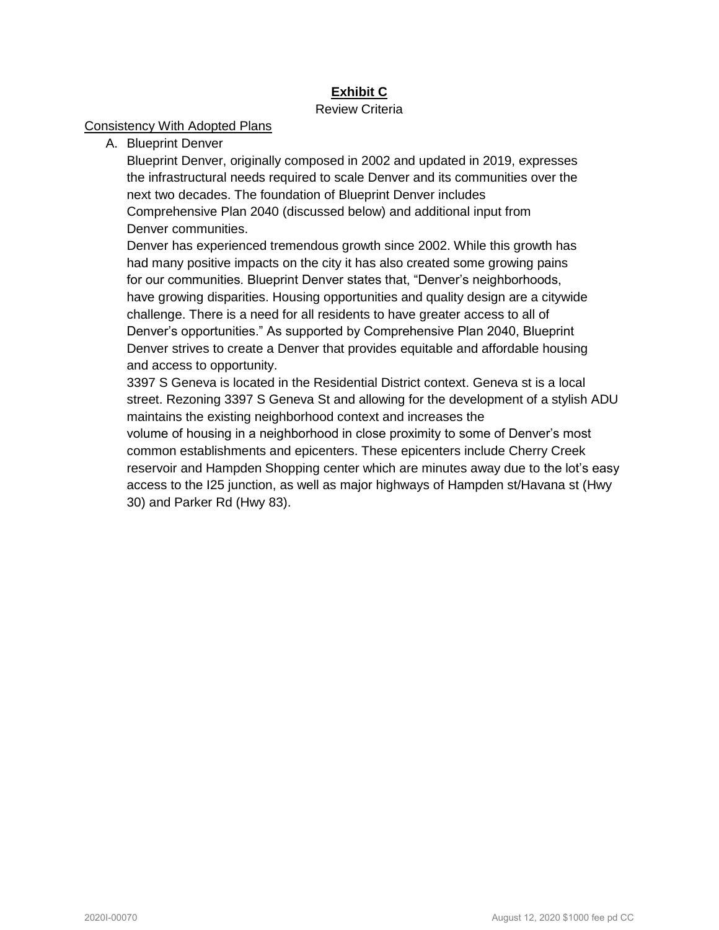## **Exhibit C**

## Review Criteria

## Consistency With Adopted Plans

A. Blueprint Denver

Blueprint Denver, originally composed in 2002 and updated in 2019, expresses the infrastructural needs required to scale Denver and its communities over the next two decades. The foundation of Blueprint Denver includes Comprehensive Plan 2040 (discussed below) and additional input from Denver communities.

Denver has experienced tremendous growth since 2002. While this growth has had many positive impacts on the city it has also created some growing pains for our communities. Blueprint Denver states that, "Denver's neighborhoods, have growing disparities. Housing opportunities and quality design are a citywide challenge. There is a need for all residents to have greater access to all of Denver's opportunities." As supported by Comprehensive Plan 2040, Blueprint Denver strives to create a Denver that provides equitable and affordable housing and access to opportunity.

3397 S Geneva is located in the Residential District context. Geneva st is a local street. Rezoning 3397 S Geneva St and allowing for the development of a stylish ADU maintains the existing neighborhood context and increases the

volume of housing in a neighborhood in close proximity to some of Denver's most common establishments and epicenters. These epicenters include Cherry Creek reservoir and Hampden Shopping center which are minutes away due to the lot's easy access to the I25 junction, as well as major highways of Hampden st/Havana st (Hwy 30) and Parker Rd (Hwy 83).